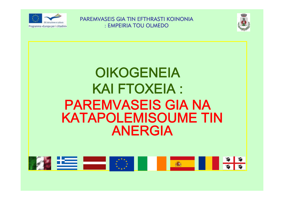



# **OIKOGENEIA KAI FTOXEIA: PAREMVASEIS GIA NA KATAPOLEMISOUME TIN ANERGIA**

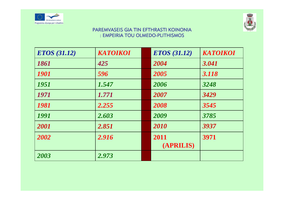



| <b>ETOS</b> (31.12) | <b>KATOIKOI</b> | <b>ETOS</b> (31.12) | <b>KATOIKOI</b> |
|---------------------|-----------------|---------------------|-----------------|
| 1861                | 425             | 2004                | 3.041           |
| 1901                | 596             | 2005                | 3.118           |
| <b>1951</b>         | 1.547           | 2006                | 3248            |
| 1971                | 1.771           | 2007                | 3429            |
| 1981                | 2.255           | 2008                | 3545            |
| 1991                | 2.603           | 2009                | 3785            |
| 2001                | 2.851           | 2010                | 3937            |
| 2002                | 2.916           | 2011<br>(APRILIS)   | 3971            |
| 2003                | 2.973           |                     |                 |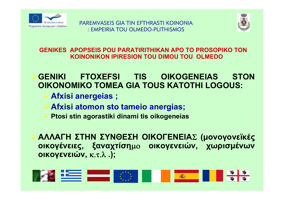



**GENIKES APOPSEIS POU PARATIRITHIKAN APO TO PROSOPIKO TON KOINONIKON IPIRESION TOU DIMOU TOU OLMEDO**

¾**GENIKI FTOXEFSI TIS OIKOGENEIAS STON OIKONOMIKO TOMEA GIA TOUS KATOTHI LOGOUS:**

- ¾**Afxisi anergeias ;**
- ¾**Afxisi atomon sto tameio anergias;**
- **Ptosi stin agorastiki dinami tis oikogeneias**

¾**ΑΛΛΑΓΗ ΣΤΗΝ ΣΥΝΘΕΣΗ ΟΙΚΟΓΕΝΕΙΑ** Σ **(μονογονεϊκές οικογένειες, ξαναχτίση**μο **οικογενειών, χωρισμένων οικογενειών,** κ.τ.λ **.);**

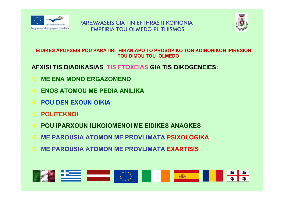



#### EIDIKES APOPSEIS POU PARATIRITHIKAN APO TO PROSOPIKO TON KOINONIKON IPIRESION **TOU DIMOU TOU OLMEDO**

#### AFXISI TIS DIADIKASIAS TIS FTOXEIAS GIA TIS OIKOGENEIES:

- **ME ENA MONO ERGAZOMENO**
- **ENOS ATOMOU ME PEDIA ANILIKA**
- **POU DEN EXOUN OIKIA**
- **POLITEKNOL**
- **POU IPARXOUN ILIKOIOMENOI ME EIDIKES ANAGKES**
- **ME PAROUSIA ATOMON ME PROVLIMATA PSIXOLOGIKA**
- **ME PAROUSIA ATOMON ME PROVLIMATA EXARTISIS**

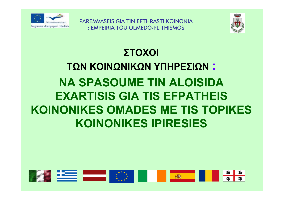

PAREMVASEIS GIA TIN FETHRASTI KOINONIA : EMPEIRIA TOU OLMEDO-PLITHISMOS



# ΣΤΟΧΟΙ ΤΩΝ ΚΟΙΝΩΝΙΚΩΝ ΥΠΗΡΕΣΙΩΝ : **NA SPASOUME TIN ALOISIDA EXARTISIS GIA TIS EFPATHEIS KOINONIKES OMADES ME TIS TOPIKES KOINONIKES IPIRESIES**

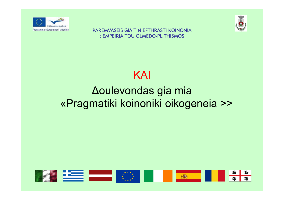





## **Aoulevondas gia mia** «Pragmatiki koinoniki oikogeneia >>

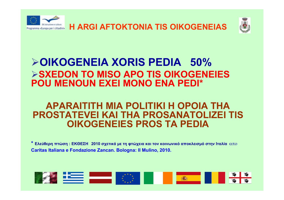



### ¾**OIKOGENEIA XORIS PEDIA 50%** ¾**SXEDON TO MISO APO TIS OIKOGENEIES POU MENOUN EXEI MONO ENA PEDI\***

#### **APARAITITH MIA POLITIKI H OPOIA THA PROSTATEVEI KAI THA PROSANATOLIZEI TIS OIKOGENEIES PROS TA PEDIA**

 $^*$  Ελεύθερη πτώση : ΕΚΘΕΣΗ  $\,$  2010 σχετικά με τη φτώχεια και τον κοινωνικό αποκλεισμό στην Ιταλία  $\,\alpha\pi{\rm o}\,$ **Caritas Italiana e Fondazione Zancan. Bologna: Il Mulino, 2010.**

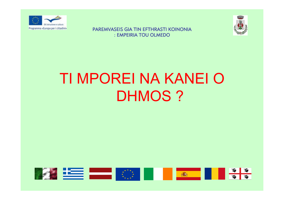



# TI MPOREI NA KANEI O **DHMOS?**

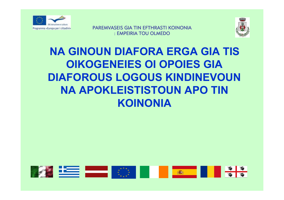



### **NA GINOUN DIAFORA ERGA GIA TIS OIKOGENEIES OI OPOIES GIA DIAFOROUS LOGOUS KINDINEVOUN NA APOKLEISTISTOUN APO TIN KOINONIA**

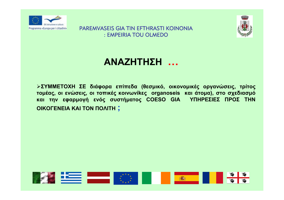



#### **ΑΝΑΖΗΤΗΣΗ …**

¾**ΣΥΜΜΕΤΟΧΗ ΣΕ διάφορα επίπεδα (θεσμικό, οικονομικές οργανώσεις, τρίτος** τομέας, οι ενώσεις, οι τοπικές κοινωνίκες organoseis και άτομα), στο σχεδιασμό **και την εφαρμογή ενός συστήματος COESO GIA ΥΠΗΡΕΣΙΕΣ ΠΡΟΣ ΤΗΝ ΟΙΚΟΓΕΝΕΙΑ ΚΑΙ ΤΟΝ ΠΟΛΙΤΗ ;**

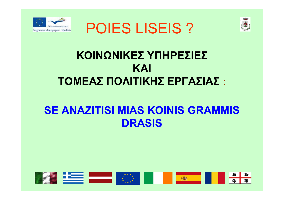





## ΚΟΙΝΩΝΙΚΕΣ ΥΠΗΡΕΣΙΕΣ KAI ΤΟΜΕΑΣ ΠΟΛΙΤΙΚΗΣ ΕΡΓΑΣΙΑΣ:

### **SE ANAZITISI MIAS KOINIS GRAMMIS DRASIS**

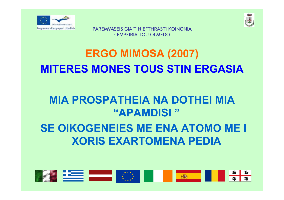



# **ERGO MIMOSA (2007) MITERES MONES TOUS STIN ERGASIA**

### **MIA PROSPATHEIA NA DOTHEI MIA** "APAMDISI"

### **SE OIKOGENEIES ME ENA ATOMO ME I XORIS EXARTOMENA PEDIA**

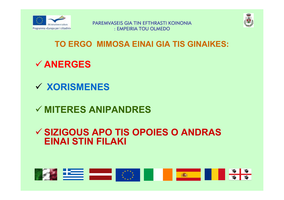



#### TO ERGO MIMOSA EINAI GIA TIS GINAIKES:

### $\checkmark$  ANERGES

### **√ XORISMENES**

### $\checkmark$  MITERES ANIPANDRES

#### ✓ SIZIGOUS APO TIS OPOIES O ANDRAS **EINAI STIN FILAKI**

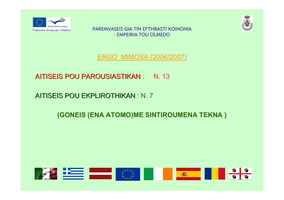



ERGO MIMOSA (2006/2007)

#### AITISEIS POU PAROUSIASTIKAN : N. 13

#### AITISEIS POU EKPLIROTHIKAN : N. 7

#### **(GONEIS (ENA ATOMO)ME SINTIROUMENA TEKNA )**

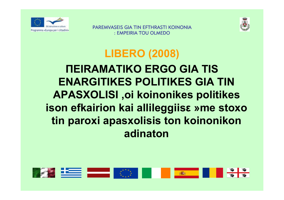



## **LIBERO (2008)** *NEIRAMATIKO ERGO GIA TIS* **ENARGITIKES POLITIKES GIA TIN APASXOLISI, oi koinonikes politikes** ison efkairion kai allileggiis me stoxo tin paroxi apasxolisis ton koinonikon adinaton

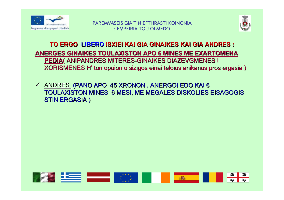



#### **TO ERGO LIBERO ISXIEI KAI GIA GINAIKES KAI GIA ANDRES :** ANERGES GINAIKES TOULAXISTON APO 6 MINES ME EXARTOMENA **PEDIA( ANIPANDRES MITERES-GINAIKES DIAZEVGMENES I** XORISMENES H' ton opoion o sizigos einai teloios anikanos pros ergasia)

√ ANDRES (PANO APO 45 XRONON, ANERGOI EDO KAI 6 TOULAXISTON MINES 6 MESI, ME MEGALES DISKOLIES EISAGOGIS **STIN ERGASIA)** 

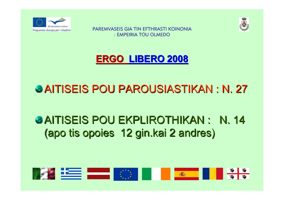



### **ERGO LIBERO 2008 LIBERO 2008**

## AITISEIS POU PAROUSIASTIKAN : AITISEIS POU PAROUSIASTIKAN : N. 27

## **& AITISEIS POU EKPLIROTHIKAN : N. 14** (apo tis opoies 12 gin.kai 2 andres) (apo tis opoies 12 gin.kai 2 andres)

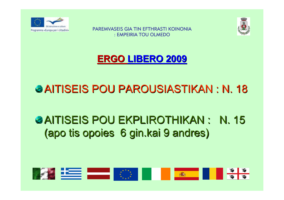



**ERGO LIBERO 2009 LIBERO 2009**

## AITISEIS POU PAROUSIASTIKAN : AITISEIS POU PAROUSIASTIKAN : N. 18

## AITISEIS POU EKPLIROTHIKAN : AITISEIS POU EKPLIROTHIKAN : N. 15 N. 15 (apo tis opoies 6 gin.kai 9 andres) (apo tis opoies 6 gin.kai 9 andres)

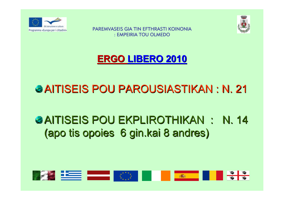



**ERGO LIBERO 2010 LIBERO 2010**

## AITISEIS POU PAROUSIASTIKAN : AITISEIS POU PAROUSIASTIKAN : N. 21

## **& AITISEIS POU EKPLIROTHIKAN : N. 14** (apo tis opoies 6 gin.kai 8 andres)

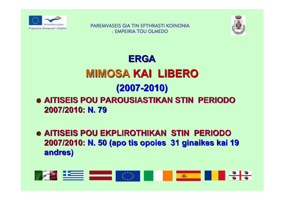



### **ERGA MIMOSA KAI LIBERO (2007 -2010)**  $\bullet$  **AITISEIS POU PAROUSIASTIKAN STIN PERIODO 2007/2010: 2007/2010: N. 79**

**• AITISEIS POU EKPLIROTHIKAN STIN PERIODO 2007/2010: 2007/2010: N. 50 (apo tis opoies (apo tis opoies 31 ginaikes kai ginaikes kai 19 andres) andres)**

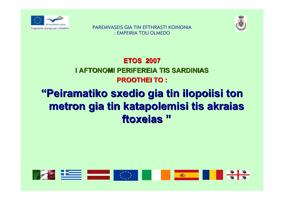



#### **ETOS 2007 I AFTONOMI PERIFEREIA TIS SARDINIAS PROOTHEI TO : PROOTHEI TO :**

### **"Peiramatiko sxedio gia tin ilopoiisi ton Peiramatiko sxedio gia tin ilopoiisi ton metron gia tin katapolemisi tis akraias metron gia tin katapolemisi tis akraias ftoxeias ftoxeias"**

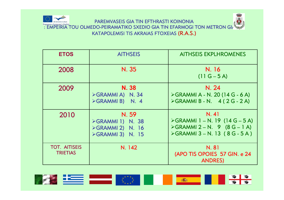

PAREMVASEIS GIA TIN EFTHRASTI KOINONIA Programma «Europa per i cittadini»<br>
: EMPEIRIA TOU OLMEDO-PEIRAMATIKO SXEDIO GIA TIN EFARMOGI TON METRON GI KATAPOLEMISI TIS AKRAIAS FTOXEIAS (R.A.S.)

| <b>ETOS</b>                             | <b>AITHSEIS</b>                                                                 | <b>AITHSEIS EKPLHROMENES</b>                                                                                                                             |
|-----------------------------------------|---------------------------------------------------------------------------------|----------------------------------------------------------------------------------------------------------------------------------------------------------|
| 2008                                    | N. 35                                                                           | N. 16<br>$(11 G - 5 A)$                                                                                                                                  |
| 2009                                    | N. 38<br>$\triangleright$ GRAMMIA) N. 34<br>>GRAMMIB) N. 4                      | N. 24<br>$\triangleright$ GRAMMI A - N. 20 (14 G - 6 A)<br>$\triangleright$ GRAMMI B - N. 4 (2G - 2A)                                                    |
| 2010                                    | N.59<br>>GRAMMI 1) N. 38<br>$\triangleright$ GRAMMI 2) N. 16<br>>GRAMMI3) N. 15 | N. 41<br>$\triangleright$ GRAMMI 1 – N. 19 (14 G – 5 A)<br>$\triangleright$ GRAMMI 2 – N. 9 (8 G – 1 A)<br>$\triangleright$ GRAMMI 3 – N. 13 (8 G - 5 A) |
| <b>TOT. AITISEIS</b><br><b>TRIETIAS</b> | N. 142                                                                          | N. 81<br>(APO TIS OPOIES 57 GIN. e 24<br><b>ANDRES)</b>                                                                                                  |

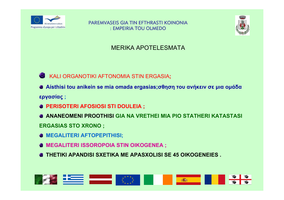



#### **MERIKA APOTELESMATA**

#### KALI ORGANOTIKI AFTONOMIA STIN ERGASIA;

- <sup>●</sup> Aísthisi tou anikein se mia omada ergasias; σθηση του ανήκειν σε μια ομάδα εργασίας ;
- **@ PERISOTERI AFOSIOSI STI DOULEIA ;**
- **ANANEOMENI PROOTHISI GIA NA VRETHEI MIA PIO STATHERI KATASTASI**

**ERGASIAS STO XRONO ;** 

- **<sup>6</sup> MEGALITERI AFTOPEPITHISI;**
- **& MEGALITERI ISSOROPOIA STIN OIKOGENEA;**
- **THETIKI APANDISI SXETIKA ME APASXOLISI SE 45 OIKOGENEIES.**

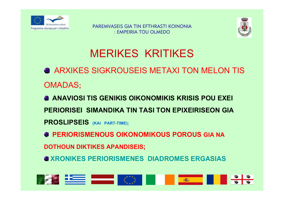



## MERIKES KRITIKES

- ARXIKES SIGKROUSEIS METAXI TON MELON TIS OMADAS**;**
- **ANAVIOSI TIS GENIKIS OIKONOMIKIS KRISIS POU EXEI PERIORISEI SIMANDIKA TIN TASI TON EPIXEIRISEON GIA PROSLIPSEIS (KAI PART-TIME);**
- $\bullet$  **PERIORISMENOUS OIKONOMIKOUS POROUS GIA NA**
- **DOTHOUN DIKTIKES APANDISEIS;**
- $\bullet$  **XRONIKES PERIORISMENES DIADROMES ERGASIAS**

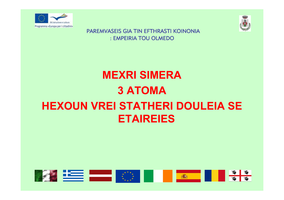



# **MEXRI SIMERA 3 ATOMA HEXOUN VREI STATHERI DOULEIA SE ETAIREIES**

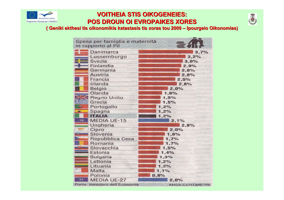

# **VOITHEIA STIS OIKOGENEIES: VOITHEIA STIS OIKOGENEIES:**



**POS DROUN OI EVROPAIKES XORES POS DROUN OI EVROPAIKES XORES ( Geniki ekthesi tis oikonomikis katastasis tis xoras tou <sup>2009</sup> – Ipourgeio Oikonomias) Ipourgeio Oikonomias)**

| Spesa per famiglia e maternità<br>in rapporto al Pil | $\leq 4$                                     |  |
|------------------------------------------------------|----------------------------------------------|--|
| Danimarca                                            | 3,7%                                         |  |
| Lussemburgo                                          | 3,2%                                         |  |
| Svezia                                               | 3.0%                                         |  |
| Finlandia                                            | 2,9%                                         |  |
| Germania                                             | 2,8%                                         |  |
| <b>Austria</b>                                       | 2,8%                                         |  |
| Francia                                              | 2,5%                                         |  |
| Irlanda                                              | 2,6%                                         |  |
| <b>Belgio</b>                                        | 2,0%                                         |  |
| Olanda                                               | 1,6%<br>first exted                          |  |
| <b>Regno Unito</b>                                   | <b>Dentes and</b><br>1,5%                    |  |
| É<br>Grecia                                          | Jag 11515<br>1,5%<br>disorner.               |  |
| Ð<br>Portogallo                                      | 1,2%<br>Il consider                          |  |
| Spagna<br>盘                                          | 1,2%<br>Smoote's                             |  |
| <b>HANA</b>                                          | 1,2%                                         |  |
| $-15$<br><b>MEDIA UE-15</b>                          | 2,1%<br>Service St                           |  |
| Ungheria                                             | 2,8%                                         |  |
| Cipro                                                | 2,0%                                         |  |
| Slovenia                                             | <b>STRAGES</b><br>1,8%<br><b>Mile Of</b>     |  |
| Repubblica Ceca                                      | 1,7%<br>edzA pr                              |  |
| Romania                                              | 1,7%<br><b>Thursday</b>                      |  |
| Slovacchia<br>第二 海洋                                  | 1,5%<br>Fair Sydney                          |  |
| Estonia                                              | 1,4%                                         |  |
| <b>Bulgaria</b>                                      | 1,3%                                         |  |
| Lettonia                                             | 1,2%                                         |  |
| Lituania                                             | <b>Sile Ameri</b><br>1,2%<br><b>HERRITAS</b> |  |
| Malta                                                | 1,1%<br>i sezh nv?                           |  |
| Polonia                                              | 0,8%<br>924-4-19                             |  |
| 27.<br><b>MEDIA UE-27</b>                            | 2,0%                                         |  |
| Fonte: ministero dell'Economia                       | <b>ANSA-CENTIMETRI</b>                       |  |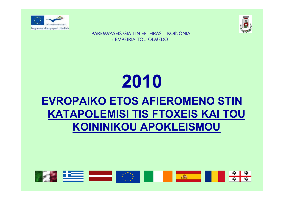



# 2010 **EVROPAIKO ETOS AFIEROMENO STIN KATAPOLEMISI TIS FTOXEIS KAI TOU KOININIKOU APOKLEISMOU**

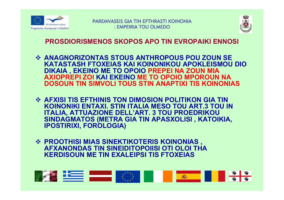



#### **PROSDIORISMENOS SKOPOS APO TIN EVROPAIKI ENNOSI**

- ❖ ANAGNORIZONTAS STOUS ANTHROPOUS POU ZOUN SE KATASTASH FTOXEIAS KAI KOINONIKOU APOKLEISMOU DIO DIKAIA, EKEINO ME TO OPOIO PREPEI NA ZOUN MIA<br>AXIOPREPI ZOI KAI EKEINO ME TO OPOIO MPOROUN NA **DOSOUN TIN SIMVOLI TOUS STIN ANAPTIXI TIS KOINONIAS**
- ❖ AFXISI TIS EFTHINIS TON DIMOSION POLITIKON GIA TIN KOINONIKI ENTAXI. STIN ITALIA MESO TOU ART.3 TOU IN **ITALIA, ATTUAZIONE DELL'ART. 3 TOU PROEDRIKOU** SINDAGMATOS (METRA GIA TIN APASXOLISI, KATOIKIA, **IPOSTIRIXI, FOROLOGIA)**
- **❖ PROOTHISI MIAS SINEKTIKOTERIS KOINONIAS,<br>AFXANONDAS TIN SINEIDITOPOIISI OTI OLOI THA KERDISOUN ME TIN EXALEIPSI TIS FTOXEIAS**

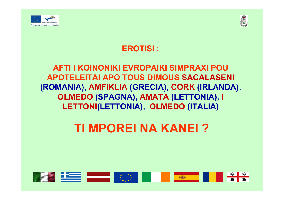

**Best Best Best Best Best** 



#### **EROTISI:**

#### **AFTI I KOINONIKI EVROPAIKI SIMPRAXI POU APOTELEITAI APO TOUS DIMOUS SACALASENI** (ROMANIA), AMFIKLIA (GRECIA), CORK (IRLANDA), OLMEDO (SPAGNA), AMATA (LETTONIA), I LETTONI(LETTONIA), OLMEDO (ITALIA)

**TI MPOREI NA KANEI?**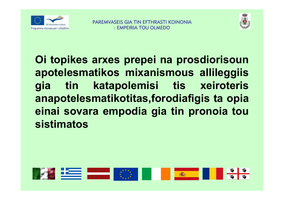



Oi topikes arxes prepei na prosdiorisoun apotelesmatikos mixanismous allileggiis katapolemisi tis xeiroteris tin gia anapotelesmatikotitas, forodiafigis ta opia einai sovara empodia gia tin pronoia tou **sistimatos** 

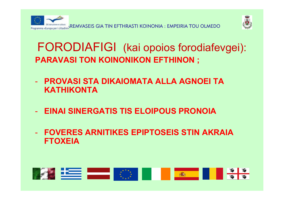



### **FORODIAFIGI** (kai opoios forodiafevgei): **PARAVASI TON KOINONIKON EFTHINON ;**

- **PROVASI STA DIKAIOMATA ALLA AGNOEI TA KATHIKONTA**
- **EINAI SINERGATIS TIS ELOIPOUS PRONOIA**
- **FOVERES ARNITIKES EPIPTOSEIS STIN AKRAIA FTOXEIA**

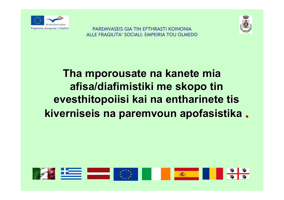



**PAREMVASEIS GIA TIN EFTHRASTI KOINONIA** ALLE FRAGILITA' SOCIALI: EMPEIRIA TOU OLMEDO

## Tha mporousate na kanete mia afisa/diafimistiki me skopo tin evesthitopoiisi kai na entharinete tis kiverniseis na paremvoun apofasistika.

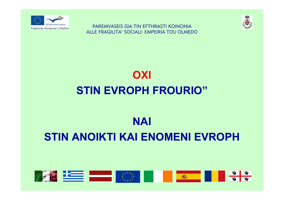

**PAREMVASEIS GIA TIN EFTHRASTI KOINONIA** ALLE FRAGILITA' SOCIALI: EMPEIRIA TOU OLMEDO



# OXI **STIN EVROPH FROURIO"**

## **NAI STIN ANOIKTI KAI ENOMENI EVROPH**